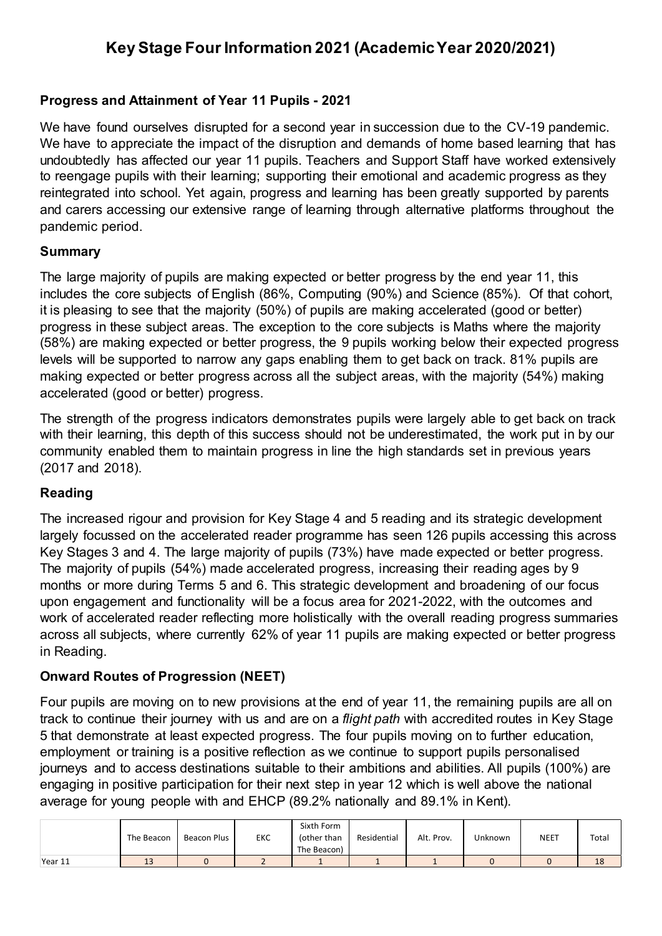# **Key Stage Four Information 2021 (Academic Year 2020/2021)**

# **Progress and Attainment of Year 11 Pupils - 2021**

We have found ourselves disrupted for a second year in succession due to the CV-19 pandemic. We have to appreciate the impact of the disruption and demands of home based learning that has undoubtedly has affected our year 11 pupils. Teachers and Support Staff have worked extensively to reengage pupils with their learning; supporting their emotional and academic progress as they reintegrated into school. Yet again, progress and learning has been greatly supported by parents and carers accessing our extensive range of learning through alternative platforms throughout the pandemic period.

### **Summary**

The large majority of pupils are making expected or better progress by the end year 11, this includes the core subjects of English (86%, Computing (90%) and Science (85%). Of that cohort, it is pleasing to see that the majority (50%) of pupils are making accelerated (good or better) progress in these subject areas. The exception to the core subjects is Maths where the majority (58%) are making expected or better progress, the 9 pupils working below their expected progress levels will be supported to narrow any gaps enabling them to get back on track. 81% pupils are making expected or better progress across all the subject areas, with the majority (54%) making accelerated (good or better) progress.

The strength of the progress indicators demonstrates pupils were largely able to get back on track with their learning, this depth of this success should not be underestimated, the work put in by our community enabled them to maintain progress in line the high standards set in previous years (2017 and 2018).

### **Reading**

The increased rigour and provision for Key Stage 4 and 5 reading and its strategic development largely focussed on the accelerated reader programme has seen 126 pupils accessing this across Key Stages 3 and 4. The large majority of pupils (73%) have made expected or better progress. The majority of pupils (54%) made accelerated progress, increasing their reading ages by 9 months or more during Terms 5 and 6. This strategic development and broadening of our focus upon engagement and functionality will be a focus area for 2021-2022, with the outcomes and work of accelerated reader reflecting more holistically with the overall reading progress summaries across all subjects, where currently 62% of year 11 pupils are making expected or better progress in Reading.

### **Onward Routes of Progression (NEET)**

Four pupils are moving on to new provisions at the end of year 11, the remaining pupils are all on track to continue their journey with us and are on a *flight path* with accredited routes in Key Stage 5 that demonstrate at least expected progress. The four pupils moving on to further education, employment or training is a positive reflection as we continue to support pupils personalised journeys and to access destinations suitable to their ambitions and abilities. All pupils (100%) are engaging in positive participation for their next step in year 12 which is well above the national average for young people with and EHCP (89.2% nationally and 89.1% in Kent).

|         | The Beacon | Beacon Plus | <b>EKC</b> | Sixth Form<br>(other than<br>The Beacon) | Residential | Alt. Prov. | Unknown | <b>NEET</b> | Total |
|---------|------------|-------------|------------|------------------------------------------|-------------|------------|---------|-------------|-------|
| Year 11 | 13         |             |            |                                          |             |            |         |             | 18    |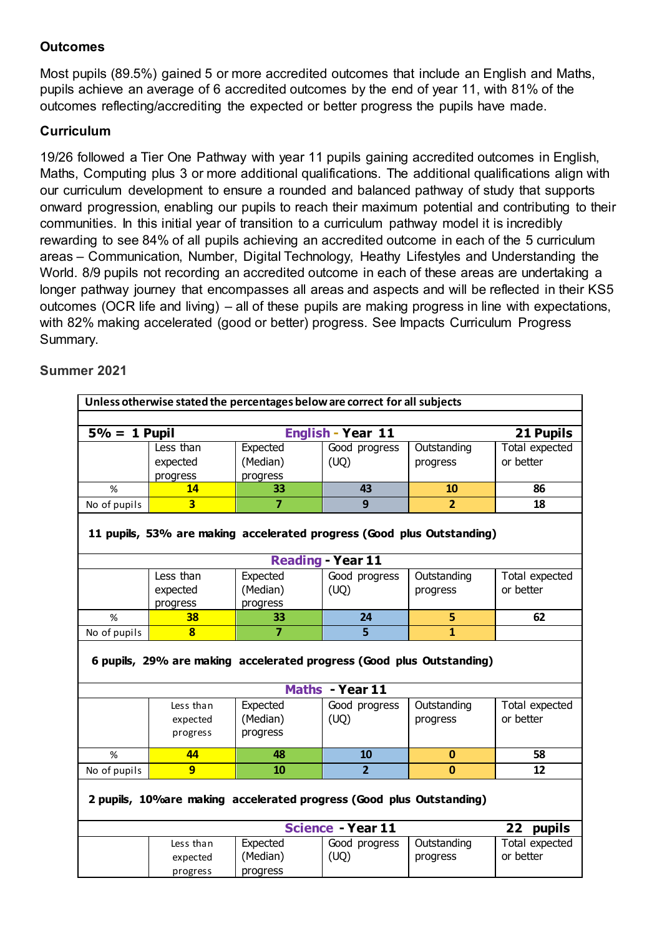### **Outcomes**

Most pupils (89.5%) gained 5 or more accredited outcomes that include an English and Maths, pupils achieve an average of 6 accredited outcomes by the end of year 11, with 81% of the outcomes reflecting/accrediting the expected or better progress the pupils have made.

# **Curriculum**

19/26 followed a Tier One Pathway with year 11 pupils gaining accredited outcomes in English, Maths, Computing plus 3 or more additional qualifications. The additional qualifications align with our curriculum development to ensure a rounded and balanced pathway of study that supports onward progression, enabling our pupils to reach their maximum potential and contributing to their communities. In this initial year of transition to a curriculum pathway model it is incredibly rewarding to see 84% of all pupils achieving an accredited outcome in each of the 5 curriculum areas – Communication, Number, Digital Technology, Heathy Lifestyles and Understanding the World. 8/9 pupils not recording an accredited outcome in each of these areas are undertaking a longer pathway journey that encompasses all areas and aspects and will be reflected in their KS5 outcomes (OCR life and living) – all of these pupils are making progress in line with expectations, with 82% making accelerated (good or better) progress. See Impacts Curriculum Progress Summary.

|                                                                                                         |                         |                           | Unless otherwise stated the percentages below are correct for all subjects |                |                             |  |  |  |  |
|---------------------------------------------------------------------------------------------------------|-------------------------|---------------------------|----------------------------------------------------------------------------|----------------|-----------------------------|--|--|--|--|
| $5% = 1$ Pupil<br><b>English - Year 11</b><br>21 Pupils                                                 |                         |                           |                                                                            |                |                             |  |  |  |  |
| Less than                                                                                               |                         | Expected<br>Good progress |                                                                            | Outstanding    | Total expected              |  |  |  |  |
|                                                                                                         | expected                | (Median)                  | (UQ)                                                                       | progress       | or better                   |  |  |  |  |
|                                                                                                         | progress                | progress                  |                                                                            |                |                             |  |  |  |  |
| %                                                                                                       | 14                      | 33                        | 43                                                                         | 10             | 86                          |  |  |  |  |
| No of pupils                                                                                            | $\overline{3}$          | $\overline{7}$            | 9                                                                          | $\overline{2}$ | 18                          |  |  |  |  |
| 11 pupils, 53% are making accelerated progress (Good plus Outstanding)                                  |                         |                           |                                                                            |                |                             |  |  |  |  |
|                                                                                                         |                         | Expected                  | <b>Reading - Year 11</b>                                                   |                |                             |  |  |  |  |
|                                                                                                         | Less than               |                           | Good progress                                                              | Outstanding    | Total expected<br>or better |  |  |  |  |
|                                                                                                         | expected                |                           | (UQ)                                                                       | progress       |                             |  |  |  |  |
| %                                                                                                       | progress<br>38          | progress<br>33            | 24                                                                         | 5              | 62                          |  |  |  |  |
| No of pupils                                                                                            | $\overline{\mathbf{8}}$ | $\overline{7}$            | $\overline{\mathbf{5}}$                                                    | $\mathbf{1}$   |                             |  |  |  |  |
|                                                                                                         |                         |                           | 6 pupils, 29% are making accelerated progress (Good plus Outstanding)      |                |                             |  |  |  |  |
|                                                                                                         |                         |                           | Maths - Year 11                                                            |                |                             |  |  |  |  |
|                                                                                                         | Less than               | Expected                  | Good progress                                                              | Outstanding    | Total expected              |  |  |  |  |
|                                                                                                         | expected                | (Median)                  | (UQ)                                                                       | progress       | or better                   |  |  |  |  |
|                                                                                                         | progress                | progress                  |                                                                            |                |                             |  |  |  |  |
| %                                                                                                       | 44                      | 48                        | 10                                                                         | $\mathbf{0}$   | 58                          |  |  |  |  |
| No of pupils                                                                                            | 9                       | 10                        | $\overline{2}$                                                             | $\mathbf{0}$   | 12                          |  |  |  |  |
| 2 pupils, 10% are making accelerated progress (Good plus Outstanding)<br><b>Science - Year 11</b><br>22 |                         |                           |                                                                            |                |                             |  |  |  |  |
| pupils<br>Total expected<br>Expected<br>Good progress<br>Outstanding<br>Less than                       |                         |                           |                                                                            |                |                             |  |  |  |  |
|                                                                                                         | expected                | (Median)                  | (UQ)                                                                       | progress       | or better                   |  |  |  |  |
|                                                                                                         | progress                | progress                  |                                                                            |                |                             |  |  |  |  |
|                                                                                                         |                         |                           |                                                                            |                |                             |  |  |  |  |

# **Summer 2021**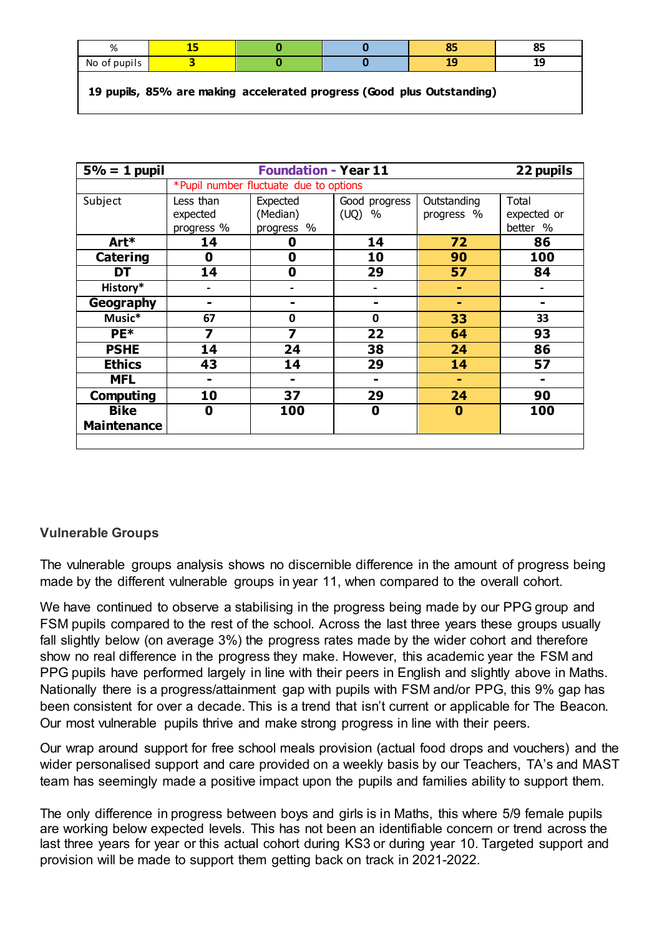| %                     | -- |  | -- | -- |
|-----------------------|----|--|----|----|
| $\sim$<br>N0<br>pupno |    |  |    | -- |
|                       |    |  |    |    |

**19 pupils, 85% are making accelerated progress (Good plus Outstanding)**

| $5\% = 1$ pupil    |                                     | <b>Foundation - Year 11</b>            |                            | 22 pupils                 |                                  |  |  |  |  |  |
|--------------------|-------------------------------------|----------------------------------------|----------------------------|---------------------------|----------------------------------|--|--|--|--|--|
|                    |                                     | *Pupil number fluctuate due to options |                            |                           |                                  |  |  |  |  |  |
| Subject            | Less than<br>expected<br>progress % | Expected<br>(Median)<br>progress %     | Good progress<br>(UQ)<br>% | Outstanding<br>progress % | Total<br>expected or<br>better % |  |  |  |  |  |
| Art*               | 14                                  | O                                      | 14                         | 72                        | 86                               |  |  |  |  |  |
| Catering           | 0                                   | 0                                      | 10                         | 90                        | 100                              |  |  |  |  |  |
| DT                 | 14                                  | 0                                      | 29                         | 57                        | 84                               |  |  |  |  |  |
| History*           |                                     |                                        |                            | ۰                         |                                  |  |  |  |  |  |
| Geography          | -                                   |                                        | -                          | ۰                         |                                  |  |  |  |  |  |
| Music*             | 67                                  | 0                                      | 0                          | 33                        | 33                               |  |  |  |  |  |
| PE*                | 7                                   | 7                                      | 22                         | 64                        | 93                               |  |  |  |  |  |
| <b>PSHE</b>        | 14                                  | 24                                     | 38                         | 24                        | 86                               |  |  |  |  |  |
| <b>Ethics</b>      | 43                                  | 14                                     | 29                         | 14                        | 57                               |  |  |  |  |  |
| <b>MFL</b>         |                                     | -                                      | ۰                          | ۰                         |                                  |  |  |  |  |  |
| <b>Computing</b>   | 10                                  | 37                                     | 29                         | 24                        | 90                               |  |  |  |  |  |
| <b>Bike</b>        | 0                                   | 100                                    | $\mathbf 0$                | $\bf{0}$                  | 100                              |  |  |  |  |  |
| <b>Maintenance</b> |                                     |                                        |                            |                           |                                  |  |  |  |  |  |
|                    |                                     |                                        |                            |                           |                                  |  |  |  |  |  |

### **Vulnerable Groups**

The vulnerable groups analysis shows no discernible difference in the amount of progress being made by the different vulnerable groups in year 11, when compared to the overall cohort.

We have continued to observe a stabilising in the progress being made by our PPG group and FSM pupils compared to the rest of the school. Across the last three years these groups usually fall slightly below (on average 3%) the progress rates made by the wider cohort and therefore show no real difference in the progress they make. However, this academic year the FSM and PPG pupils have performed largely in line with their peers in English and slightly above in Maths. Nationally there is a progress/attainment gap with pupils with FSM and/or PPG, this 9% gap has been consistent for over a decade. This is a trend that isn't current or applicable for The Beacon. Our most vulnerable pupils thrive and make strong progress in line with their peers.

Our wrap around support for free school meals provision (actual food drops and vouchers) and the wider personalised support and care provided on a weekly basis by our Teachers, TA's and MAST team has seemingly made a positive impact upon the pupils and families ability to support them.

The only difference in progress between boys and girls is in Maths, this where 5/9 female pupils are working below expected levels. This has not been an identifiable concern or trend across the last three years for year or this actual cohort during KS3 or during year 10. Targeted support and provision will be made to support them getting back on track in 2021-2022.